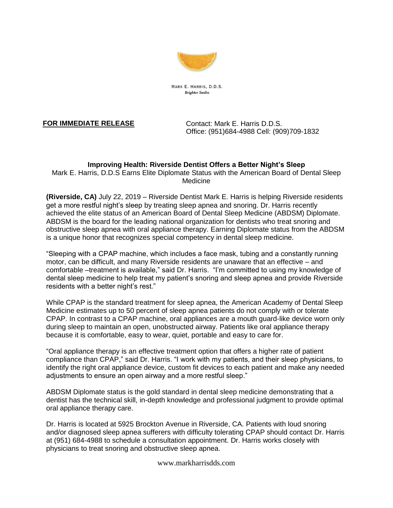

MARK E. HARRIS, D.D.S. **Brighter Smiles** 

**FOR IMMEDIATE RELEASE Contact: Mark E. Harris D.D.S.** Office: (951)684-4988 Cell: (909)709-1832

## **Improving Health: Riverside Dentist Offers a Better Night's Sleep**

Mark E. Harris, D.D.S Earns Elite Diplomate Status with the American Board of Dental Sleep Medicine

**(Riverside, CA)** July 22, 2019 – Riverside Dentist Mark E. Harris is helping Riverside residents get a more restful night's sleep by treating sleep apnea and snoring. Dr. Harris recently achieved the elite status of an American Board of Dental Sleep Medicine (ABDSM) Diplomate. ABDSM is the board for the leading national organization for dentists who treat snoring and obstructive sleep apnea with oral appliance therapy. Earning Diplomate status from the ABDSM is a unique honor that recognizes special competency in dental sleep medicine.

"Sleeping with a CPAP machine, which includes a face mask, tubing and a constantly running motor, can be difficult, and many Riverside residents are unaware that an effective – and comfortable –treatment is available," said Dr. Harris. "I'm committed to using my knowledge of dental sleep medicine to help treat my patient's snoring and sleep apnea and provide Riverside residents with a better night's rest."

While CPAP is the standard treatment for sleep apnea, the American Academy of Dental Sleep Medicine estimates up to 50 percent of sleep apnea patients do not comply with or tolerate CPAP. In contrast to a CPAP machine, oral appliances are a mouth guard-like device worn only during sleep to maintain an open, unobstructed airway. Patients like oral appliance therapy because it is comfortable, easy to wear, quiet, portable and easy to care for.

"Oral appliance therapy is an effective treatment option that offers a higher rate of patient compliance than CPAP," said Dr. Harris. "I work with my patients, and their sleep physicians, to identify the right oral appliance device, custom fit devices to each patient and make any needed adjustments to ensure an open airway and a more restful sleep."

ABDSM Diplomate status is the gold standard in dental sleep medicine demonstrating that a dentist has the technical skill, in-depth knowledge and professional judgment to provide optimal oral appliance therapy care.

Dr. Harris is located at 5925 Brockton Avenue in Riverside, CA. Patients with loud snoring and/or diagnosed sleep apnea sufferers with difficulty tolerating CPAP should contact Dr. Harris at (951) 684-4988 to schedule a consultation appointment. Dr. Harris works closely with physicians to treat snoring and obstructive sleep apnea.

www.markharrisdds.com